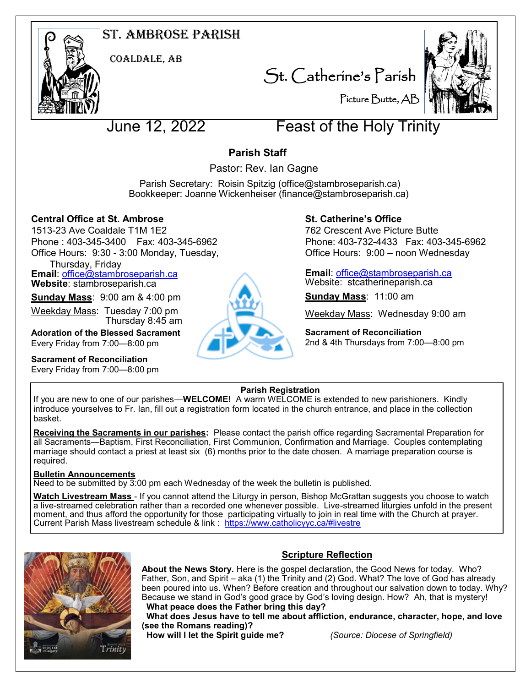# St. Ambrose Parish



Coaldale, AB

St. Catherine's Parish



Picture Butte, AB

# June 12, 2022 Feast of the Holy Trinity

# **Parish Staff**

Pastor: Rev. Ian Gagne

 Parish Secretary: Roisin Spitzig (office@stambroseparish.ca) Bookkeeper: Joanne Wickenheiser (finance@stambroseparish.ca)

# **Central Office at St. Ambrose**

1513-23 Ave Coaldale T1M 1E2 Phone : 403-345-3400 Fax: 403-345-6962 Office Hours: 9:30 - 3:00 Monday, Tuesday,

Thursday, Friday

**Email**: office@stambroseparish.ca **Website**: stambroseparish.ca

**Sunday Mass**: 9:00 am & 4:00 pm

Weekday Mass: Tuesday 7:00 pm Thursday 8:45 am

**Adoration of the Blessed Sacrament** Every Friday from 7:00—8:00 pm

**Sacrament of Reconciliation**

Every Friday from 7:00—8:00 pm



# **St. Catherine's Office**

762 Crescent Ave Picture Butte Phone: 403-732-4433 Fax: 403-345-6962 Office Hours: 9:00 – noon Wednesday

**Email**: office@stambroseparish.ca Website: stcatherineparish.ca

**Sunday Mass**: 11:00 am

Weekday Mass: Wednesday 9:00 am

**Sacrament of Reconciliation** 2nd & 4th Thursdays from 7:00—8:00 pm

# **Parish Registration**

If you are new to one of our parishes—**WELCOME!** A warm WELCOME is extended to new parishioners. Kindly introduce yourselves to Fr. Ian, fill out a registration form located in the church entrance, and place in the collection basket.

**Receiving the Sacraments in our parishes:** Please contact the parish office regarding Sacramental Preparation for all Sacraments—Baptism, First Reconciliation, First Communion, Confirmation and Marriage. Couples contemplating marriage should contact a priest at least six (6) months prior to the date chosen. A marriage preparation course is required.

### **Bulletin Announcements**

Need to be submitted by 3:00 pm each Wednesday of the week the bulletin is published.

**Watch Livestream Mass** - If you cannot attend the Liturgy in person, Bishop McGrattan suggests you choose to watch a live-streamed celebration rather than a recorded one whenever possible. Live-streamed liturgies unfold in the present moment, and thus afford the opportunity for those participating virtually to join in real time with the Church at prayer. Current Parish Mass livestream schedule & link : https://www.catholicyyc.ca/#livestre



# **Scripture Reflection**

**About the News Story.** Here is the gospel declaration, the Good News for today. Who? Father, Son, and Spirit – aka (1) the Trinity and (2) God. What? The love of God has already been poured into us. When? Before creation and throughout our salvation down to today. Why? Because we stand in God's good grace by God's loving design. How? Ah, that is mystery! **What peace does the Father bring this day?** 

 **What does Jesus have to tell me about affliction, endurance, character, hope, and love (see the Romans reading)?** 

 **How will I let the Spirit guide me?** *(Source: Diocese of Springfield)*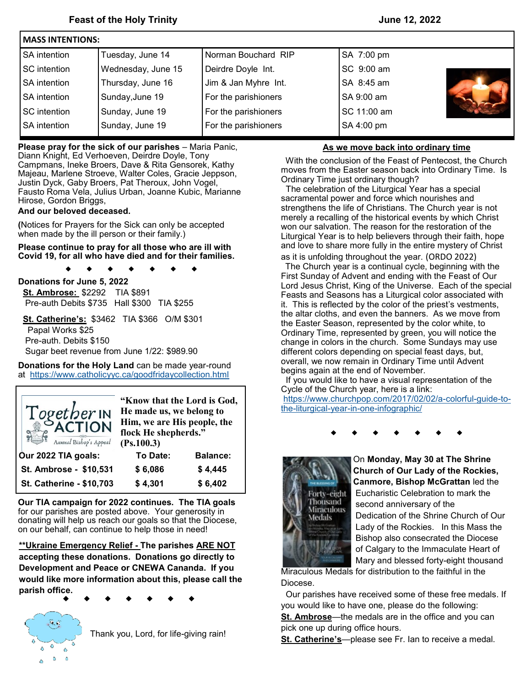| <b>IMASS INTENTIONS:</b> |                    |                      |             |  |  |  |
|--------------------------|--------------------|----------------------|-------------|--|--|--|
| <b>SA</b> intention      | Tuesday, June 14   | Norman Bouchard RIP  | SA 7:00 pm  |  |  |  |
| <b>SC</b> intention      | Wednesday, June 15 | Deirdre Doyle Int.   | SC 9:00 am  |  |  |  |
| <b>SA</b> intention      | Thursday, June 16  | Jim & Jan Myhre Int. | SA 8:45 am  |  |  |  |
| <b>SA</b> intention      | Sunday, June 19    | For the parishioners | SA 9:00 am  |  |  |  |
| <b>SC</b> intention      | Sunday, June 19    | For the parishioners | SC 11:00 am |  |  |  |
| <b>SA</b> intention      | Sunday, June 19    | For the parishioners | SA 4:00 pm  |  |  |  |
|                          |                    |                      |             |  |  |  |

**Please pray for the sick of our parishes** – Maria Panic,

 Diann Knight, Ed Verhoeven, Deirdre Doyle, Tony Campmans, Ineke Broers, Dave & Rita Gensorek, Kathy Majeau, Marlene Stroeve, Walter Coles, Gracie Jeppson, Justin Dyck, Gaby Broers, Pat Theroux, John Vogel, Fausto Roma Vela, Julius Urban, Joanne Kubic, Marianne Hirose, Gordon Briggs,

#### **And our beloved deceased.**

**(**Notices for Prayers for the Sick can only be accepted when made by the ill person or their family.)

**Please continue to pray for all those who are ill with Covid 19, for all who have died and for their families.**

**Donations for June 5, 2022 St. Ambrose:** \$2292 TIA \$891 Pre-auth Debits \$735 Hall \$300 TIA \$255

 $\blacktriangle$ 

 **St. Catherine's:** \$3462 TIA \$366 O/M \$301 Papal Works \$25 Pre-auth. Debits \$150 Sugar beet revenue from June 1/22: \$989.90

**Donations for the Holy Land** can be made year-round at <https://www.catholicyyc.ca/goodfridaycollection.html>

| Together IN<br>Annual Bishop's Appeal | "Know that the Lord is God,<br>He made us, we belong to<br>Him, we are His people, the<br>flock He shepherds."<br>(Ps.100.3) |                 |  |
|---------------------------------------|------------------------------------------------------------------------------------------------------------------------------|-----------------|--|
| Our 2022 TIA goals:                   | To Date:                                                                                                                     | <b>Balance:</b> |  |
| St. Ambrose - \$10,531                | \$6,086                                                                                                                      | \$4,445         |  |
| St. Catherine - \$10,703              | \$4,301                                                                                                                      | \$6,402         |  |

**Our TIA campaign for 2022 continues. The TIA goals**  for our parishes are posted above. Your generosity in donating will help us reach our goals so that the Diocese, on our behalf, can continue to help those in need!

**\*\*Ukraine Emergency Relief - The parishes ARE NOT accepting these donations. Donations go directly to Development and Peace or CNEWA Cananda. If you would like more information about this, please call the parish office.**

Ô ٥

Thank you, Lord, for life-giving rain!

#### **As we move back into ordinary time**

 With the conclusion of the Feast of Pentecost, the Church moves from the Easter season back into Ordinary Time. Is Ordinary Time just ordinary though?

 The celebration of the Liturgical Year has a special sacramental power and force which nourishes and strengthens the life of Christians. The Church year is not merely a recalling of the historical events by which Christ won our salvation. The reason for the restoration of the Liturgical Year is to help believers through their faith, hope and love to share more fully in the entire mystery of Christ as it is unfolding throughout the year. (ORDO 2022)

 The Church year is a continual cycle, beginning with the First Sunday of Advent and ending with the Feast of Our Lord Jesus Christ, King of the Universe. Each of the special Feasts and Seasons has a Liturgical color associated with it. This is reflected by the color of the priest's vestments, the altar cloths, and even the banners. As we move from the Easter Season, represented by the color white, to Ordinary Time, represented by green, you will notice the change in colors in the church. Some Sundays may use different colors depending on special feast days, but, overall, we now remain in Ordinary Time until Advent begins again at the end of November.

 If you would like to have a visual representation of the Cycle of the Church year, here is a link:

[https://www.churchpop.com/2017/02/02/a](https://www.churchpop.com/2017/02/02/a-colorful-guide-to-the-liturgical-year-in-one-infographic/)-colorful-guide-tothe-liturgical-year-in-one-[infographic/](https://www.churchpop.com/2017/02/02/a-colorful-guide-to-the-liturgical-year-in-one-infographic/)



 On **Monday, May 30 at The Shrine Church of Our Lady of the Rockies, Canmore, Bishop McGrattan** led the Forty-eight Eucharistic Celebration to mark the<br>Thousand Second appiversary of the second anniversary of the Medals **Dedication of the Shrine Church of Our**  Lady of the Rockies. In this Mass the Bishop also consecrated the Diocese of Calgary to the Immaculate Heart of Mary and blessed forty-eight thousand

Miraculous Medals for distribution to the faithful in the Diocese.

 Our parishes have received some of these free medals. If you would like to have one, please do the following:

**St. Ambrose**—the medals are in the office and you can pick one up during office hours.

**St. Catherine's**—please see Fr. Ian to receive a medal.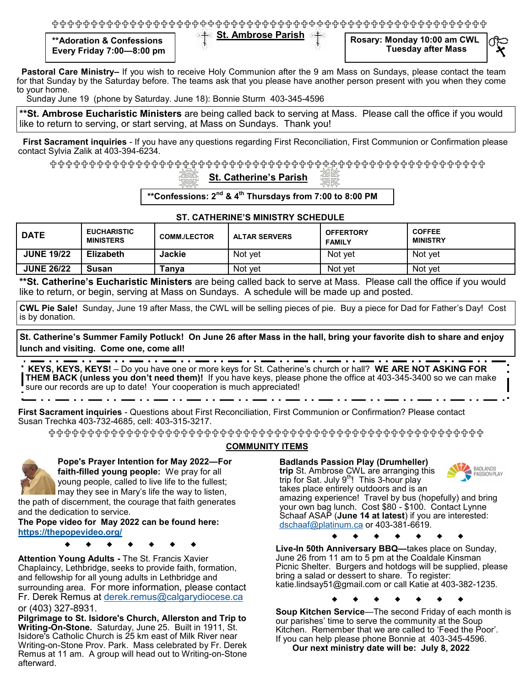**St. Ambrose Parish \*\*Adoration & Confessions Every Friday 7:00—8:00 pm**

**Rosary: Monday 10:00 am CWL Tuesday after Mass**

 **Pastoral Care Ministry–** If you wish to receive Holy Communion after the 9 am Mass on Sundays, please contact the team for that Sunday by the Saturday before. The teams ask that you please have another person present with you when they come to your home.

Sunday June 19 (phone by Saturday. June 18): Bonnie Sturm 403-345-4596

**\*\*St. Ambrose Eucharistic Ministers** are being called back to serving at Mass. Please call the office if you would like to return to serving, or start serving, at Mass on Sundays. Thank you!

 **First Sacrament inquiries** - If you have any questions regarding First Reconciliation, First Communion or Confirmation please contact Sylvia Zalik at 403-394-6234.

{+^{+^{+^{+^{+^{+^{+^{+^{+^{+}+^{+^{+^{+}+^{+^{+^{+}+^{+}+^{+^{+}+^{+^{+^{+}+}+

## **St. Catherine's Parish**

**\*\*Confessions: 2nd & 4th Thursdays from 7:00 to 8:00 PM**

#### **ST. CATHERINE'S MINISTRY SCHEDULE**

| <b>DATE</b>       | <b>EUCHARISTIC</b><br><b>MINISTERS</b> | <b>COMM./LECTOR</b> | <b>ALTAR SERVERS</b> | <b>OFFERTORY</b><br><b>FAMILY</b> | <b>COFFEE</b><br><b>MINISTRY</b> |
|-------------------|----------------------------------------|---------------------|----------------------|-----------------------------------|----------------------------------|
| <b>JUNE 19/22</b> | <b>Elizabeth</b>                       | Jackie              | Not yet              | Not vet                           | Not vet                          |
| <b>JUNE 26/22</b> | Susan                                  | Гanva               | Not vet              | Not vet                           | Not vet                          |

**\*\*St. Catherine's Eucharistic Ministers** are being called back to serve at Mass. Please call the office if you would like to return, or begin, serving at Mass on Sundays. A schedule will be made up and posted.

**CWL Pie Sale!** Sunday, June 19 after Mass, the CWL will be selling pieces of pie. Buy a piece for Dad for Father's Day! Cost is by donation.

**St. Catherine's Summer Family Potluck! On June 26 after Mass in the hall, bring your favorite dish to share and enjoy lunch and visiting. Come one, come all!**

- . . <del>. .</del> . . . . . . . **KEYS, KEYS, KEYS!** – Do you have one or more keys for St. Catherine's church or hall? **WE ARE NOT ASKING FOR THEM BACK (unless you don't need them)!** If you have keys, please phone the office at 403-345-3400 so we can make sure our records are up to date! Your cooperation is much appreciated!

**First Sacrament inquiries** - Questions about First Reconciliation, First Communion or Confirmation? Please contact Susan Trechka 403-732-4685, cell: 403-315-3217.

╬╬╬╬╬╬╬╬╬╬╬╬╬╬╬╬╬╬╬╬╬╬╬╬╬╬╬╬╬╬



**COMMUNITY ITEMS**

**Pope's Prayer Intention for May 2022—For faith-filled young people:** We pray for all young people, called to live life to the fullest; may they see in Mary's life the way to listen, the path of discernment, the courage that faith generates

and the dedication to service. **The Pope video for May 2022 can be found here:** 

**<https://thepopevideo.org/>**

**Attention Young Adults -** The St. Francis Xavier Chaplaincy, Lethbridge, seeks to provide faith, formation, and fellowship for all young adults in Lethbridge and surrounding area. For more information, please contact Fr. Derek Remus at [derek.remus@calgarydiocese.ca](mailto:derek.remus@calgarydiocese.ca) or (403) 327-8931.

**Pilgrimage to St. Isidore's Church, Allerston and Trip to Writing-On-Stone.** Saturday, June 25. Built in 1911, St. Isidore's Catholic Church is 25 km east of Milk River near Writing-on-Stone Prov. Park. Mass celebrated by Fr. Derek Remus at 11 am. A group will head out to Writing-on-Stone afterward.

#### **Badlands Passion Play (Drumheller)**

**trip** St. Ambrose CWL are arranging this trip for Sat. July 9<sup>th</sup>! This 3-hour play



takes place entirely outdoors and is an amazing experience! Travel by bus (hopefully) and bring your own bag lunch. Cost \$80 - \$100. Contact Lynne Schaaf ASAP (**June 14 at latest**) if you are interested: [dschaaf@platinum.ca](mailto:dschaaf@platinum.ca) or 403-381-6619.

**Live-In 50th Anniversary BBQ—**takes place on Sunday, June 26 from 11 am to 5 pm at the Coaldale Kinsman Picnic Shelter. Burgers and hotdogs will be supplied, please bring a salad or dessert to share. To register: katie.lindsay51@gmail.com or call Katie at 403-382-1235.

**Soup Kitchen Service**—The second Friday of each month is our parishes' time to serve the community at the Soup Kitchen. Remember that we are called to 'Feed the Poor'. If you can help please phone Bonnie at 403-345-4596.  **Our next ministry date will be: July 8, 2022**